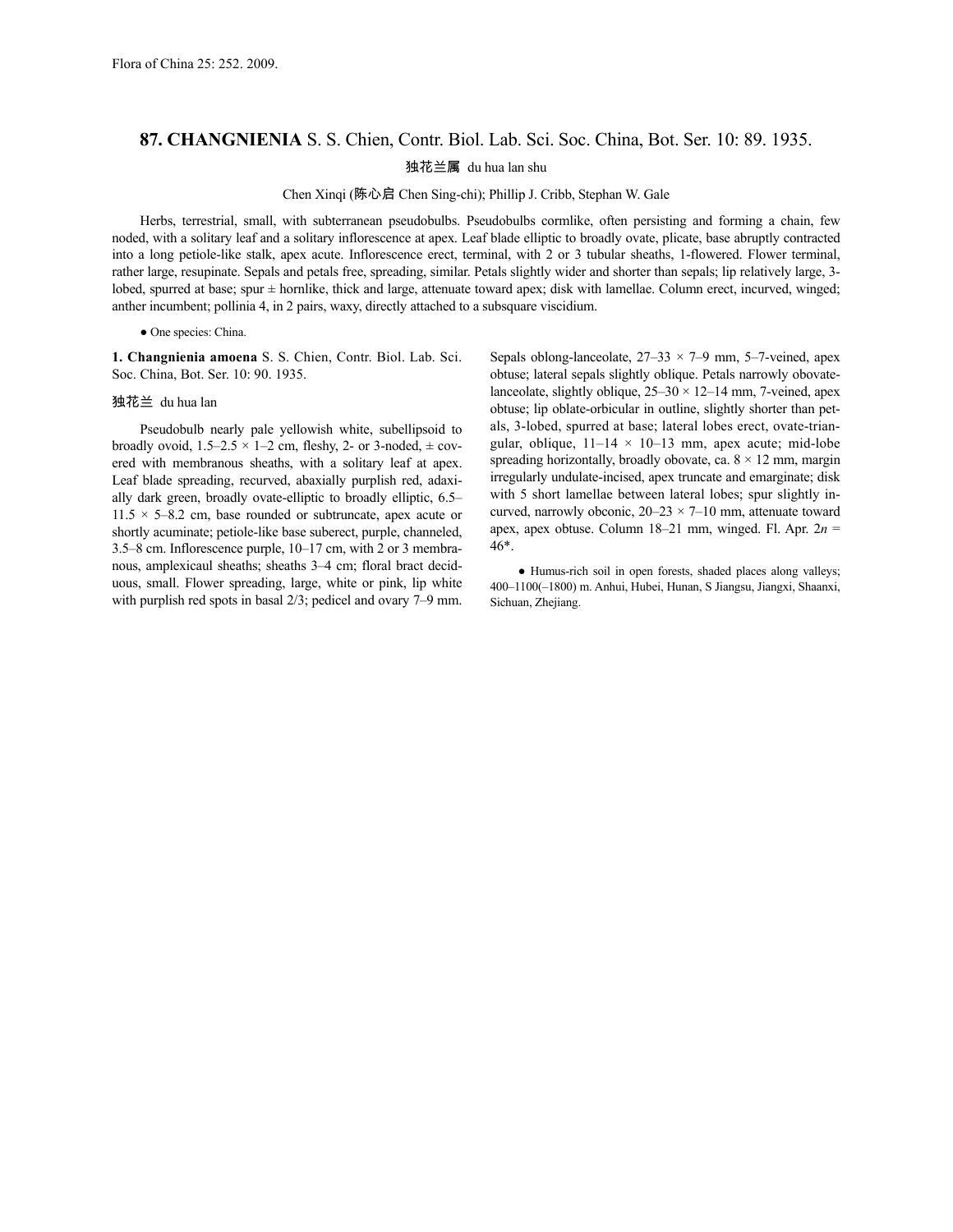## **87. CHANGNIENIA** S. S. Chien, Contr. Biol. Lab. Sci. Soc. China, Bot. Ser. 10: 89. 1935.

独花兰属 du hua lan shu

Chen Xinqi (陈心启 Chen Sing-chi); Phillip J. Cribb, Stephan W. Gale

Herbs, terrestrial, small, with subterranean pseudobulbs. Pseudobulbs cormlike, often persisting and forming a chain, few noded, with a solitary leaf and a solitary inflorescence at apex. Leaf blade elliptic to broadly ovate, plicate, base abruptly contracted into a long petiole-like stalk, apex acute. Inflorescence erect, terminal, with 2 or 3 tubular sheaths, 1-flowered. Flower terminal, rather large, resupinate. Sepals and petals free, spreading, similar. Petals slightly wider and shorter than sepals; lip relatively large, 3 lobed, spurred at base; spur ± hornlike, thick and large, attenuate toward apex; disk with lamellae. Column erect, incurved, winged; anther incumbent; pollinia 4, in 2 pairs, waxy, directly attached to a subsquare viscidium.

## ● One species: China.

**1. Changnienia amoena** S. S. Chien, Contr. Biol. Lab. Sci. Soc. China, Bot. Ser. 10: 90. 1935.

## 独花兰 du hua lan

Pseudobulb nearly pale yellowish white, subellipsoid to broadly ovoid,  $1.5-2.5 \times 1-2$  cm, fleshy, 2- or 3-noded,  $\pm$  covered with membranous sheaths, with a solitary leaf at apex. Leaf blade spreading, recurved, abaxially purplish red, adaxially dark green, broadly ovate-elliptic to broadly elliptic, 6.5–  $11.5 \times 5-8.2$  cm, base rounded or subtruncate, apex acute or shortly acuminate; petiole-like base suberect, purple, channeled, 3.5–8 cm. Inflorescence purple, 10–17 cm, with 2 or 3 membranous, amplexicaul sheaths; sheaths 3–4 cm; floral bract deciduous, small. Flower spreading, large, white or pink, lip white with purplish red spots in basal 2/3; pedicel and ovary 7–9 mm.

Sepals oblong-lanceolate,  $27-33 \times 7-9$  mm, 5-7-veined, apex obtuse; lateral sepals slightly oblique. Petals narrowly obovatelanceolate, slightly oblique,  $25-30 \times 12-14$  mm, 7-veined, apex obtuse; lip oblate-orbicular in outline, slightly shorter than petals, 3-lobed, spurred at base; lateral lobes erect, ovate-triangular, oblique,  $11-14 \times 10-13$  mm, apex acute; mid-lobe spreading horizontally, broadly obovate, ca.  $8 \times 12$  mm, margin irregularly undulate-incised, apex truncate and emarginate; disk with 5 short lamellae between lateral lobes; spur slightly incurved, narrowly obconic,  $20-23 \times 7-10$  mm, attenuate toward apex, apex obtuse. Column 18–21 mm, winged. Fl. Apr. 2*n* = 46\*.

● Humus-rich soil in open forests, shaded places along valleys; 400–1100(–1800) m. Anhui, Hubei, Hunan, S Jiangsu, Jiangxi, Shaanxi, Sichuan, Zhejiang.